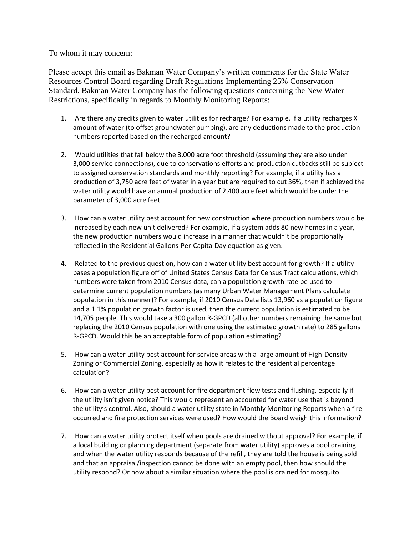To whom it may concern:

Please accept this email as Bakman Water Company's written comments for the State Water Resources Control Board regarding Draft Regulations Implementing 25% Conservation Standard. Bakman Water Company has the following questions concerning the New Water Restrictions, specifically in regards to Monthly Monitoring Reports:

- 1. Are there any credits given to water utilities for recharge? For example, if a utility recharges X amount of water (to offset groundwater pumping), are any deductions made to the production numbers reported based on the recharged amount?
- 2. Would utilities that fall below the 3,000 acre foot threshold (assuming they are also under 3,000 service connections), due to conservations efforts and production cutbacks still be subject to assigned conservation standards and monthly reporting? For example, if a utility has a production of 3,750 acre feet of water in a year but are required to cut 36%, then if achieved the water utility would have an annual production of 2,400 acre feet which would be under the parameter of 3,000 acre feet.
- 3. How can a water utility best account for new construction where production numbers would be increased by each new unit delivered? For example, if a system adds 80 new homes in a year, the new production numbers would increase in a manner that wouldn't be proportionally reflected in the Residential Gallons-Per-Capita-Day equation as given.
- 4. Related to the previous question, how can a water utility best account for growth? If a utility bases a population figure off of United States Census Data for Census Tract calculations, which numbers were taken from 2010 Census data, can a population growth rate be used to determine current population numbers (as many Urban Water Management Plans calculate population in this manner)? For example, if 2010 Census Data lists 13,960 as a population figure and a 1.1% population growth factor is used, then the current population is estimated to be 14,705 people. This would take a 300 gallon R-GPCD (all other numbers remaining the same but replacing the 2010 Census population with one using the estimated growth rate) to 285 gallons R-GPCD. Would this be an acceptable form of population estimating?
- 5. How can a water utility best account for service areas with a large amount of High-Density Zoning or Commercial Zoning, especially as how it relates to the residential percentage calculation?
- 6. How can a water utility best account for fire department flow tests and flushing, especially if the utility isn't given notice? This would represent an accounted for water use that is beyond the utility's control. Also, should a water utility state in Monthly Monitoring Reports when a fire occurred and fire protection services were used? How would the Board weigh this information?
- 7. How can a water utility protect itself when pools are drained without approval? For example, if a local building or planning department (separate from water utility) approves a pool draining and when the water utility responds because of the refill, they are told the house is being sold and that an appraisal/inspection cannot be done with an empty pool, then how should the utility respond? Or how about a similar situation where the pool is drained for mosquito